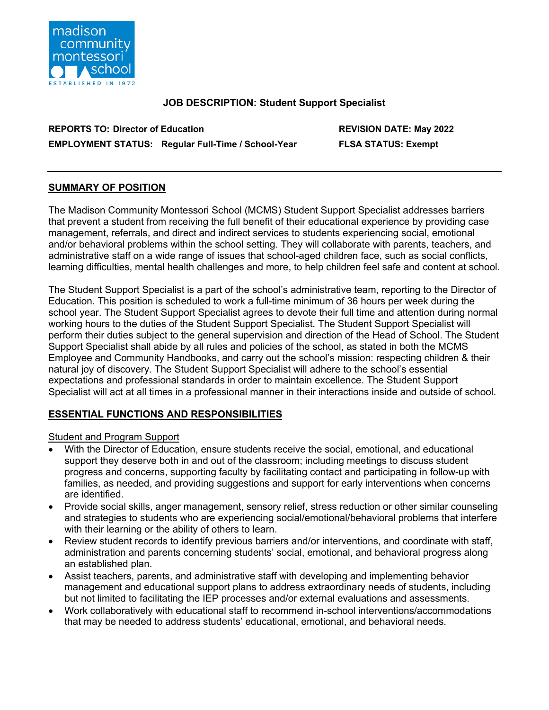

### **JOB DESCRIPTION: Student Support Specialist**

**REPORTS TO: Director of Education REVISION DATE: May 2022 EMPLOYMENT STATUS: Regular Full-Time / School-Year FLSA STATUS: Exempt**

# **SUMMARY OF POSITION**

The Madison Community Montessori School (MCMS) Student Support Specialist addresses barriers that prevent a student from receiving the full benefit of their educational experience by providing case management, referrals, and direct and indirect services to students experiencing social, emotional and/or behavioral problems within the school setting. They will collaborate with parents, teachers, and administrative staff on a wide range of issues that school-aged children face, such as social conflicts, learning difficulties, mental health challenges and more, to help children feel safe and content at school.

The Student Support Specialist is a part of the school's administrative team, reporting to the Director of Education. This position is scheduled to work a full-time minimum of 36 hours per week during the school year. The Student Support Specialist agrees to devote their full time and attention during normal working hours to the duties of the Student Support Specialist. The Student Support Specialist will perform their duties subject to the general supervision and direction of the Head of School. The Student Support Specialist shall abide by all rules and policies of the school, as stated in both the MCMS Employee and Community Handbooks, and carry out the school's mission: respecting children & their natural joy of discovery. The Student Support Specialist will adhere to the school's essential expectations and professional standards in order to maintain excellence. The Student Support Specialist will act at all times in a professional manner in their interactions inside and outside of school.

# **ESSENTIAL FUNCTIONS AND RESPONSIBILITIES**

#### Student and Program Support

- With the Director of Education, ensure students receive the social, emotional, and educational support they deserve both in and out of the classroom; including meetings to discuss student progress and concerns, supporting faculty by facilitating contact and participating in follow-up with families, as needed, and providing suggestions and support for early interventions when concerns are identified.
- Provide social skills, anger management, sensory relief, stress reduction or other similar counseling and strategies to students who are experiencing social/emotional/behavioral problems that interfere with their learning or the ability of others to learn.
- Review student records to identify previous barriers and/or interventions, and coordinate with staff, administration and parents concerning students' social, emotional, and behavioral progress along an established plan.
- Assist teachers, parents, and administrative staff with developing and implementing behavior management and educational support plans to address extraordinary needs of students, including but not limited to facilitating the IEP processes and/or external evaluations and assessments.
- Work collaboratively with educational staff to recommend in-school interventions/accommodations that may be needed to address students' educational, emotional, and behavioral needs.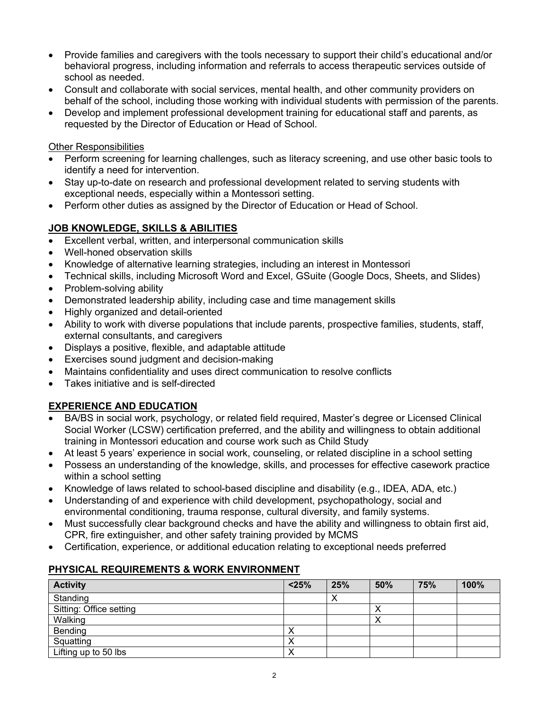- Provide families and caregivers with the tools necessary to support their child's educational and/or behavioral progress, including information and referrals to access therapeutic services outside of school as needed.
- Consult and collaborate with social services, mental health, and other community providers on behalf of the school, including those working with individual students with permission of the parents.
- Develop and implement professional development training for educational staff and parents, as requested by the Director of Education or Head of School.

Other Responsibilities

- Perform screening for learning challenges, such as literacy screening, and use other basic tools to identify a need for intervention.
- Stay up-to-date on research and professional development related to serving students with exceptional needs, especially within a Montessori setting.
- Perform other duties as assigned by the Director of Education or Head of School.

### **JOB KNOWLEDGE, SKILLS & ABILITIES**

- Excellent verbal, written, and interpersonal communication skills
- Well-honed observation skills
- Knowledge of alternative learning strategies, including an interest in Montessori
- Technical skills, including Microsoft Word and Excel, GSuite (Google Docs, Sheets, and Slides)
- Problem-solving ability
- Demonstrated leadership ability, including case and time management skills
- Highly organized and detail-oriented
- Ability to work with diverse populations that include parents, prospective families, students, staff, external consultants, and caregivers
- Displays a positive, flexible, and adaptable attitude
- Exercises sound judgment and decision-making
- Maintains confidentiality and uses direct communication to resolve conflicts
- Takes initiative and is self-directed

# **EXPERIENCE AND EDUCATION**

- BA/BS in social work, psychology, or related field required, Master's degree or Licensed Clinical Social Worker (LCSW) certification preferred, and the ability and willingness to obtain additional training in Montessori education and course work such as Child Study
- At least 5 years' experience in social work, counseling, or related discipline in a school setting
- Possess an understanding of the knowledge, skills, and processes for effective casework practice within a school setting
- Knowledge of laws related to school-based discipline and disability (e.g., IDEA, ADA, etc.)
- Understanding of and experience with child development, psychopathology, social and environmental conditioning, trauma response, cultural diversity, and family systems.
- Must successfully clear background checks and have the ability and willingness to obtain first aid, CPR, fire extinguisher, and other safety training provided by MCMS
- Certification, experience, or additional education relating to exceptional needs preferred

# **PHYSICAL REQUIREMENTS & WORK ENVIRONMENT**

| <b>Activity</b>         | < 25% | 25% | 50%       | 75% | 100% |
|-------------------------|-------|-----|-----------|-----|------|
| Standing                |       | ∧   |           |     |      |
| Sitting: Office setting |       |     | ↗         |     |      |
| Walking                 |       |     | $\lambda$ |     |      |
| Bending                 | ↗     |     |           |     |      |
| Squatting               | ⌒     |     |           |     |      |
| Lifting up to 50 lbs    | ∧     |     |           |     |      |